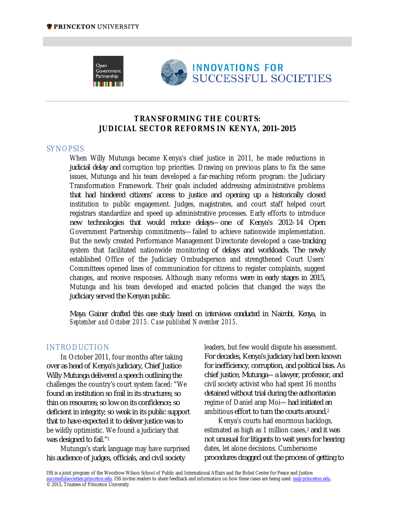

# **TRANSFORMING THE COURTS: JUDICIAL SECTOR REFORMS IN KENYA, 2011–2015**

### SYNOPSIS

When Willy Mutunga became Kenya's chief justice in 2011, he made reductions in judicial delay and corruption top priorities. Drawing on previous plans to fix the same issues, Mutunga and his team developed a far-reaching reform program: the Judiciary Transformation Framework. Their goals included addressing administrative problems that had hindered citizens' access to justice and opening up a historically closed institution to public engagement. Judges, magistrates, and court staff helped court registrars standardize and speed up administrative processes. Early efforts to introduce new technologies that would reduce delays—one of Kenya's 2012–14 Open Government Partnership commitments—failed to achieve nationwide implementation. But the newly created Performance Management Directorate developed a case-tracking system that facilitated nationwide monitoring of delays and workloads. The newly established Office of the Judiciary Ombudsperson and strengthened Court Users' Committees opened lines of communication for citizens to register complaints, suggest changes, and receive responses. Although many reforms were in early stages in 2015, Mutunga and his team developed and enacted policies that changed the ways the judiciary served the Kenyan public.

*Maya Gainer drafted this case study based on interviews conducted in Nairobi, Kenya, in September and October 2015. Case published November 2015.*

### INTRODUCTION

In October 2011, four months after taking over as head of Kenya's judiciary, Chief Justice Willy Mutunga delivered a speech outlining the challenges the country's court system faced: "We found an institution so frail in its structures; so thin on resources; so low on its confidence; so deficient in integrity; so weak in its public support that to have expected it to deliver justice was to be wildly optimistic. We found a judiciary that was designed to fail."1

Mutunga's stark language may have surprised his audience of judges, officials, and civil society

leaders, but few would dispute his assessment. For decades, Kenya's judiciary had been known for inefficiency, corruption, and political bias. As chief justice, Mutunga—a lawyer, professor, and civil society activist who had spent 16 months detained without trial during the authoritarian regime of Daniel arap Moi—had initiated an ambitious effort to turn the courts around.2

Kenya's courts had enormous backlogs, estimated as high as 1 million cases,<sup>3</sup> and it was not unusual for litigants to wait years for hearing dates, let alone decisions. Cumbersome procedures dragged out the process of getting to

ISS is a joint program of the Woodrow Wilson School of Public and International Affairs and the Bobst Center for Peace and Justice: successfulsocieties.princeton.edu. ISS invites readers to share feedback and information on how these cases are being used: iss@princeton.edu. © 2015, Trustees of Princeton University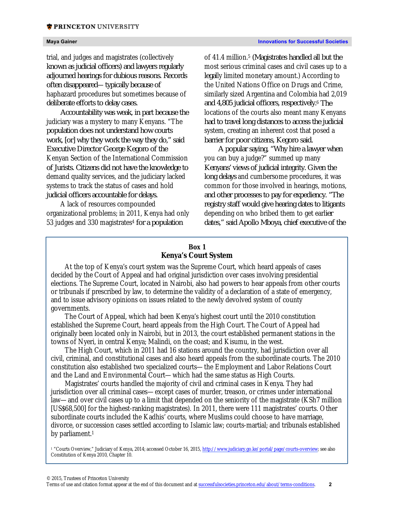trial, and judges and magistrates (collectively known as judicial officers) and lawyers regularly adjourned hearings for dubious reasons. Records often disappeared—typically because of haphazard procedures but sometimes because of deliberate efforts to delay cases.

Accountability was weak, in part because the judiciary was a mystery to many Kenyans. "The population does not understand how courts work, [or] why they work the way they do," said Executive Director George Kegoro of the Kenyan Section of the International Commission of Jurists. Citizens did not have the knowledge to demand quality services, and the judiciary lacked systems to track the status of cases and hold judicial officers accountable for delays.

A lack of resources compounded organizational problems; in 2011, Kenya had only 53 judges and 330 magistrates4 for a population

of 41.4 million.5 (Magistrates handled all but the most serious criminal cases and civil cases up to a legally limited monetary amount.) According to the United Nations Office on Drugs and Crime, similarly sized Argentina and Colombia had 2,019 and 4,805 judicial officers, respectively.6 The locations of the courts also meant many Kenyans had to travel long distances to access the judicial system, creating an inherent cost that posed a barrier for poor citizens, Kegoro said.

A popular saying, "Why hire a lawyer when you can buy a judge?" summed up many Kenyans' views of judicial integrity. Given the long delays and cumbersome procedures, it was common for those involved in hearings, motions, and other processes to pay for expediency. "The registry staff would give hearing dates to litigants depending on who bribed them to get earlier dates," said Apollo Mboya, chief executive of the

# **Box 1 Kenya's Court System**

At the top of Kenya's court system was the Supreme Court, which heard appeals of cases decided by the Court of Appeal and had original jurisdiction over cases involving presidential elections. The Supreme Court, located in Nairobi, also had powers to hear appeals from other courts or tribunals if prescribed by law, to determine the validity of a declaration of a state of emergency, and to issue advisory opinions on issues related to the newly devolved system of county governments.

The Court of Appeal, which had been Kenya's highest court until the 2010 constitution established the Supreme Court, heard appeals from the High Court. The Court of Appeal had originally been located only in Nairobi, but in 2013, the court established permanent stations in the towns of Nyeri, in central Kenya; Malindi, on the coast; and Kisumu, in the west.

The High Court, which in 2011 had 16 stations around the country, had jurisdiction over all civil, criminal, and constitutional cases and also heard appeals from the subordinate courts. The 2010 constitution also established two specialized courts—the Employment and Labor Relations Court and the Land and Environmental Court—which had the same status as High Courts.

Magistrates' courts handled the majority of civil and criminal cases in Kenya. They had jurisdiction over all criminal cases—except cases of murder, treason, or crimes under international law—and over civil cases up to a limit that depended on the seniority of the magistrate (KSh7 million [US\$68,500] for the highest-ranking magistrates). In 2011, there were 111 magistrates' courts. Other subordinate courts included the Kadhis' courts, where Muslims could choose to have marriage, divorce, or succession cases settled according to Islamic law; courts-martial; and tribunals established by parliament.<sup>1</sup>

<sup>1</sup> "Courts Overview," Judiciary of Kenya, 2014; accessed October 16, 2015, http://www.judiciary.go.ke/portal/page/courts-overview; see also Constitution of Kenya 2010, Chapter 10.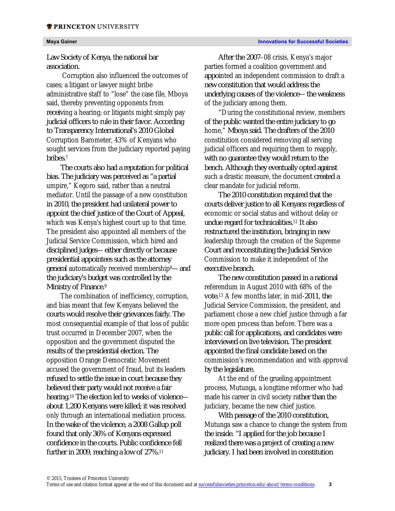Law Society of Kenya, the national bar association.

Corruption also influenced the outcomes of cases; a litigant or lawyer might bribe administrative staff to "lose" the case file, Mboya said, thereby preventing opponents from receiving a hearing; or litigants might simply pay judicial officers to rule in their favor. According to Transparency International's 2010 Global Corruption Barometer, 43% of Kenyans who sought services from the judiciary reported paying bribes.7

The courts also had a reputation for political bias. The judiciary was perceived as "a partial umpire," Kegoro said, rather than a neutral mediator. Until the passage of a new constitution in 2010, the president had unilateral power to appoint the chief justice of the Court of Appeal, which was Kenya's highest court up to that time. The president also appointed all members of the Judicial Service Commission, which hired and disciplined judges—either directly or because presidential appointees such as the attorney general automatically received membership8—and the judiciary's budget was controlled by the Ministry of Finance.<sup>9</sup>

The combination of inefficiency, corruption, and bias meant that few Kenyans believed the courts would resolve their grievances fairly. The most consequential example of that loss of public trust occurred in December 2007, when the opposition and the government disputed the results of the presidential election. The opposition Orange Democratic Movement accused the government of fraud, but its leaders refused to settle the issue in court because they believed their party would not receive a fair hearing.10 The election led to weeks of violence about 1,200 Kenyans were killed; it was resolved only through an international mediation process. In the wake of the violence, a 2008 Gallup poll found that only 36% of Kenyans expressed confidence in the courts. Public confidence fell further in 2009, reaching a low of 27%.11

After the 2007–08 crisis, Kenya's major parties formed a coalition government and appointed an independent commission to draft a new constitution that would address the underlying causes of the violence—the weakness of the judiciary among them.

"During the constitutional review, members of the public wanted the entire judiciary to go home," Mboya said. The drafters of the 2010 constitution considered removing all serving judicial officers and requiring them to reapply, with no guarantee they would return to the bench. Although they eventually opted against such a drastic measure, the document created a clear mandate for judicial reform.

The 2010 constitution required that the courts deliver justice to all Kenyans regardless of economic or social status and without delay or undue regard for technicalities.12 It also restructured the institution, bringing in new leadership through the creation of the Supreme Court and reconstituting the Judicial Service Commission to make it independent of the executive branch.

The new constitution passed in a national referendum in August 2010 with 68% of the vote.13 A few months later, in mid-2011, the Judicial Service Commission, the president, and parliament chose a new chief justice through a far more open process than before. There was a public call for applications, and candidates were interviewed on live television. The president appointed the final candidate based on the commission's recommendation and with approval by the legislature.

At the end of the grueling appointment process, Mutunga, a longtime reformer who had made his career in civil society rather than the judiciary, became the new chief justice.

With passage of the 2010 constitution, Mutunga saw a chance to change the system from the inside. "I applied for the job because I realized there was a project of creating a new judiciary. I had been involved in constitution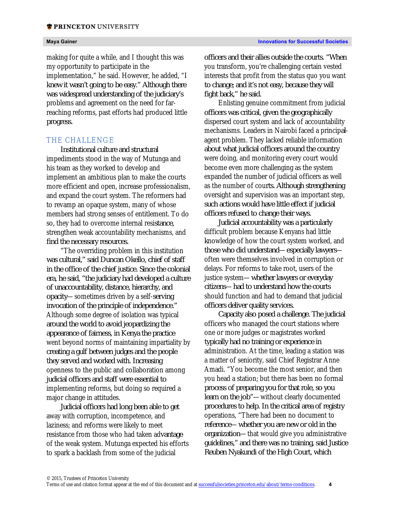making for quite a while, and I thought this was my opportunity to participate in the implementation," he said. However, he added, "I knew it wasn't going to be easy." Although there was widespread understanding of the judiciary's problems and agreement on the need for farreaching reforms, past efforts had produced little progress.

# THE CHALLENGE

Institutional culture and structural impediments stood in the way of Mutunga and his team as they worked to develop and implement an ambitious plan to make the courts more efficient and open, increase professionalism, and expand the court system. The reformers had to revamp an opaque system, many of whose members had strong senses of entitlement. To do so, they had to overcome internal resistance, strengthen weak accountability mechanisms, and find the necessary resources.

"The overriding problem in this institution was cultural," said Duncan Okello, chief of staff in the office of the chief justice. Since the colonial era, he said, "the judiciary had developed a culture of unaccountability, distance, hierarchy, and opacity—sometimes driven by a self-serving invocation of the principle of independence." Although some degree of isolation was typical around the world to avoid jeopardizing the appearance of fairness, in Kenya the practice went beyond norms of maintaining impartiality by creating a gulf between judges and the people they served and worked with. Increasing openness to the public and collaboration among judicial officers and staff were essential to implementing reforms, but doing so required a major change in attitudes.

Judicial officers had long been able to get away with corruption, incompetence, and laziness; and reforms were likely to meet resistance from those who had taken advantage of the weak system. Mutunga expected his efforts to spark a backlash from some of the judicial

officers and their allies outside the courts. "When you transform, you're challenging certain vested interests that profit from the status quo you want to change; and it's not easy, because they will fight back," he said.

Enlisting genuine commitment from judicial officers was critical, given the geographically dispersed court system and lack of accountability mechanisms. Leaders in Nairobi faced a principalagent problem. They lacked reliable information about what judicial officers around the country were doing, and monitoring every court would become even more challenging as the system expanded the number of judicial officers as well as the number of courts. Although strengthening oversight and supervision was an important step, such actions would have little effect if judicial officers refused to change their ways.

Judicial accountability was a particularly difficult problem because Kenyans had little knowledge of how the court system worked, and those who did understand—especially lawyers often were themselves involved in corruption or delays. For reforms to take root, users of the justice system—whether lawyers or everyday citizens—had to understand how the courts should function and had to demand that judicial officers deliver quality services.

Capacity also posed a challenge. The judicial officers who managed the court stations where one or more judges or magistrates worked typically had no training or experience in administration. At the time, leading a station was a matter of seniority, said Chief Registrar Anne Amadi. "You become the most senior, and then you head a station; but there has been no formal process of preparing you for that role, so you learn on the job"—without clearly documented procedures to help. In the critical area of registry operations, "There had been no document to reference—whether you are new or old in the organization—that would give you administrative guidelines," and there was no training, said Justice Reuben Nyakundi of the High Court, which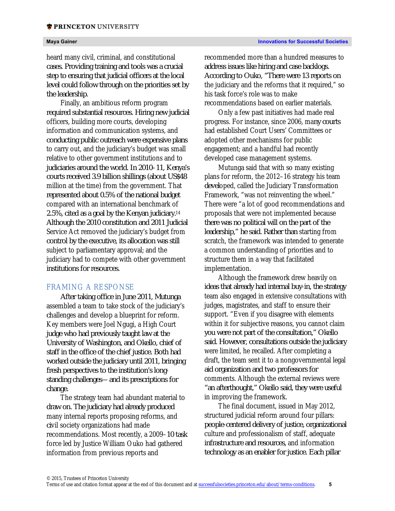heard many civil, criminal, and constitutional cases. Providing training and tools was a crucial step to ensuring that judicial officers at the local level could follow through on the priorities set by the leadership.

Finally, an ambitious reform program required substantial resources. Hiring new judicial officers, building more courts, developing information and communication systems, and conducting public outreach were expensive plans to carry out, and the judiciary's budget was small relative to other government institutions and to judiciaries around the world. In 2010–11, Kenya's courts received 3.9 billion shillings (about US\$48 million at the time) from the government. That represented about 0.5% of the national budget compared with an international benchmark of 2.5%, cited as a goal by the Kenyan judiciary.14 Although the 2010 constitution and 2011 Judicial Service Act removed the judiciary's budget from control by the executive, its allocation was still subject to parliamentary approval; and the judiciary had to compete with other government institutions for resources.

# FRAMING A RESPONSE

After taking office in June 2011, Mutunga assembled a team to take stock of the judiciary's challenges and develop a blueprint for reform. Key members were Joel Ngugi, a High Court judge who had previously taught law at the University of Washington, and Okello, chief of staff in the office of the chief justice. Both had worked outside the judiciary until 2011, bringing fresh perspectives to the institution's longstanding challenges—and its prescriptions for change.

The strategy team had abundant material to draw on. The judiciary had already produced many internal reports proposing reforms, and civil society organizations had made recommendations. Most recently, a 2009–10 task force led by Justice William Ouko had gathered information from previous reports and

recommended more than a hundred measures to address issues like hiring and case backlogs. According to Ouko, "There were 13 reports on the judiciary and the reforms that it required," so his task force's role was to make recommendations based on earlier materials.

Only a few past initiatives had made real progress. For instance, since 2006, many courts had established Court Users' Committees or adopted other mechanisms for public engagement; and a handful had recently developed case management systems.

Mutunga said that with so many existing plans for reform, the 2012–16 strategy his team developed, called the Judiciary Transformation Framework, "was not reinventing the wheel." There were "a lot of good recommendations and proposals that were not implemented because there was no political will on the part of the leadership," he said. Rather than starting from scratch, the framework was intended to generate a common understanding of priorities and to structure them in a way that facilitated implementation.

Although the framework drew heavily on ideas that already had internal buy-in, the strategy team also engaged in extensive consultations with judges, magistrates, and staff to ensure their support. "Even if you disagree with elements within it for subjective reasons, you cannot claim you were not part of the consultation," Okello said. However, consultations outside the judiciary were limited, he recalled. After completing a draft, the team sent it to a nongovernmental legal aid organization and two professors for comments. Although the external reviews were "an afterthought," Okello said, they were useful in improving the framework.

The final document, issued in May 2012, structured judicial reform around four pillars: people-centered delivery of justice, organizational culture and professionalism of staff, adequate infrastructure and resources, and information technology as an enabler for justice. Each pillar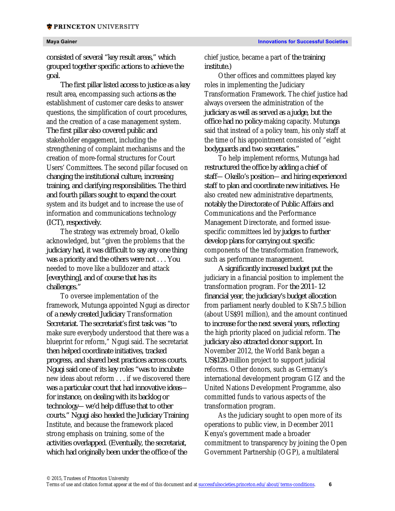consisted of several "key result areas," which grouped together specific actions to achieve the goal.

The first pillar listed access to justice as a key result area, encompassing such actions as the establishment of customer care desks to answer questions, the simplification of court procedures, and the creation of a case management system. The first pillar also covered public and stakeholder engagement, including the strengthening of complaint mechanisms and the creation of more-formal structures for Court Users' Committees. The second pillar focused on changing the institutional culture, increasing training, and clarifying responsibilities. The third and fourth pillars sought to expand the court system and its budget and to increase the use of information and communications technology (ICT), respectively.

The strategy was extremely broad, Okello acknowledged, but "given the problems that the judiciary had, it was difficult to say any one thing was a priority and the others were not . . . You needed to move like a bulldozer and attack [everything], and of course that has its challenges."

To oversee implementation of the framework, Mutunga appointed Ngugi as director of a newly created Judiciary Transformation Secretariat. The secretariat's first task was "to make sure everybody understood that there was a blueprint for reform," Ngugi said. The secretariat then helped coordinate initiatives, tracked progress, and shared best practices across courts. Ngugi said one of its key roles "was to incubate new ideas about reform . . . if we discovered there was a particular court that had innovative ideas for instance, on dealing with its backlog or technology—we'd help diffuse that to other courts." Ngugi also headed the Judiciary Training Institute, and because the framework placed strong emphasis on training, some of the activities overlapped. (Eventually, the secretariat, which had originally been under the office of the

chief justice, became a part of the training institute.)

Other offices and committees played key roles in implementing the Judiciary Transformation Framework. The chief justice had always overseen the administration of the judiciary as well as served as a judge, but the office had no policy-making capacity. Mutunga said that instead of a policy team, his only staff at the time of his appointment consisted of "eight bodyguards and two secretaries."

To help implement reforms, Mutunga had restructured the office by adding a chief of staff—Okello's position—and hiring experienced staff to plan and coordinate new initiatives. He also created new administrative departments, notably the Directorate of Public Affairs and Communications and the Performance Management Directorate, and formed issuespecific committees led by judges to further develop plans for carrying out specific components of the transformation framework, such as performance management.

A significantly increased budget put the judiciary in a financial position to implement the transformation program. For the 2011–12 financial year, the judiciary's budget allocation from parliament nearly doubled to KSh7.5 billion (about US\$91 million), and the amount continued to increase for the next several years, reflecting the high priority placed on judicial reform. The judiciary also attracted donor support. In November 2012, the World Bank began a US\$120-million project to support judicial reforms. Other donors, such as Germany's international development program GIZ and the United Nations Development Programme, also committed funds to various aspects of the transformation program.

As the judiciary sought to open more of its operations to public view, in December 2011 Kenya's government made a broader commitment to transparency by joining the Open Government Partnership (OGP), a multilateral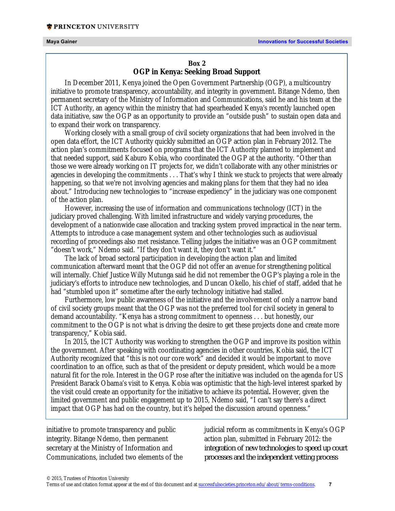### **Box 2**

# **OGP in Kenya: Seeking Broad Support**

In December 2011, Kenya joined the Open Government Partnership (OGP), a multicountry initiative to promote transparency, accountability, and integrity in government. Bitange Ndemo, then permanent secretary of the Ministry of Information and Communications, said he and his team at the ICT Authority, an agency within the ministry that had spearheaded Kenya's recently launched open data initiative, saw the OGP as an opportunity to provide an "outside push" to sustain open data and to expand their work on transparency.

Working closely with a small group of civil society organizations that had been involved in the open data effort, the ICT Authority quickly submitted an OGP action plan in February 2012. The action plan's commitments focused on programs that the ICT Authority planned to implement and that needed support, said Kaburo Kobia, who coordinated the OGP at the authority. "Other than those we were already working on IT projects for, we didn't collaborate with any other ministries or agencies in developing the commitments . . . That's why I think we stuck to projects that were already happening, so that we're not involving agencies and making plans for them that they had no idea about." Introducing new technologies to "increase expediency" in the judiciary was one component of the action plan.

However, increasing the use of information and communications technology (ICT) in the judiciary proved challenging. With limited infrastructure and widely varying procedures, the development of a nationwide case allocation and tracking system proved impractical in the near term. Attempts to introduce a case management system and other technologies such as audiovisual recording of proceedings also met resistance. Telling judges the initiative was an OGP commitment "doesn't work," Ndemo said. "If they don't want it, they don't want it."

The lack of broad sectoral participation in developing the action plan and limited communication afterward meant that the OGP did not offer an avenue for strengthening political will internally. Chief Justice Willy Mutunga said he did not remember the OGP's playing a role in the judiciary's efforts to introduce new technologies, and Duncan Okello, his chief of staff, added that he had "stumbled upon it" sometime after the early technology initiative had stalled.

Furthermore, low public awareness of the initiative and the involvement of only a narrow band of civil society groups meant that the OGP was not the preferred tool for civil society in general to demand accountability. "Kenya has a strong commitment to openness . . . but honestly, our commitment to the OGP is not what is driving the desire to get these projects done and create more transparency," Kobia said.

In 2015, the ICT Authority was working to strengthen the OGP and improve its position within the government. After speaking with coordinating agencies in other countries, Kobia said, the ICT Authority recognized that "this is not our core work" and decided it would be important to move coordination to an office, such as that of the president or deputy president, which would be a more natural fit for the role. Interest in the OGP rose after the initiative was included on the agenda for US President Barack Obama's visit to Kenya. Kobia was optimistic that the high-level interest sparked by the visit could create an opportunity for the initiative to achieve its potential**.** However, given the limited government and public engagement up to 2015, Ndemo said, "I can't say there's a direct impact that OGP has had on the country, but it's helped the discussion around openness."

initiative to promote transparency and public integrity. Bitange Ndemo, then permanent secretary at the Ministry of Information and Communications, included two elements of the judicial reform as commitments in Kenya's OGP action plan, submitted in February 2012: the integration of new technologies to speed up court processes and the independent vetting process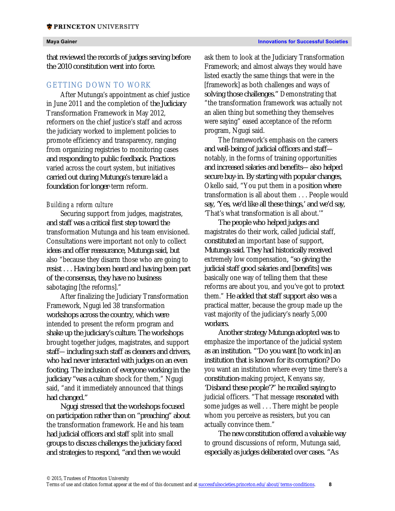that reviewed the records of judges serving before the 2010 constitution went into force.

## GETTING DOWN TO WORK

After Mutunga's appointment as chief justice in June 2011 and the completion of the Judiciary Transformation Framework in May 2012, reformers on the chief justice's staff and across the judiciary worked to implement policies to promote efficiency and transparency, ranging from organizing registries to monitoring cases and responding to public feedback. Practices varied across the court system, but initiatives carried out during Mutunga's tenure laid a foundation for longer-term reform.

### *Building a reform culture*

Securing support from judges, magistrates, and staff was a critical first step toward the transformation Mutunga and his team envisioned. Consultations were important not only to collect ideas and offer reassurance, Mutunga said, but also "because they disarm those who are going to resist . . . Having been heard and having been part of the consensus, they have no business sabotaging [the reforms]."

After finalizing the Judiciary Transformation Framework, Ngugi led 38 transformation workshops across the country, which were intended to present the reform program and shake up the judiciary's culture. The workshops brought together judges, magistrates, and support staff—including such staff as cleaners and drivers, who had never interacted with judges on an even footing. The inclusion of everyone working in the judiciary "was a culture shock for them," Ngugi said, "and it immediately announced that things had changed."

Ngugi stressed that the workshops focused on participation rather than on "preaching" about the transformation framework. He and his team had judicial officers and staff split into small groups to discuss challenges the judiciary faced and strategies to respond, "and then we would

ask them to look at the Judiciary Transformation Framework; and almost always they would have listed exactly the same things that were in the [framework] as both challenges and ways of solving those challenges." Demonstrating that "the transformation framework was actually not an alien thing but something they themselves were saying" eased acceptance of the reform program, Ngugi said.

The framework's emphasis on the careers and well-being of judicial officers and staff notably, in the forms of training opportunities and increased salaries and benefits—also helped secure buy-in. By starting with popular changes, Okello said, "You put them in a position where transformation is all about them . . . People would say, 'Yes, we'd like all these things,' and we'd say, 'That's what transformation is all about.'"

The people who helped judges and magistrates do their work, called judicial staff, constituted an important base of support, Mutunga said. They had historically received extremely low compensation, "so giving the judicial staff good salaries and [benefits] was basically one way of telling them that these reforms are about you, and you've got to protect them." He added that staff support also was a practical matter, because the group made up the vast majority of the judiciary's nearly 5,000 workers.

Another strategy Mutunga adopted was to emphasize the importance of the judicial system as an institution. "'Do you want [to work in] an institution that is known for its corruption? Do you want an institution where every time there's a constitution-making project, Kenyans say, 'Disband these people'?" he recalled saying to judicial officers. "That message resonated with some judges as well . . . There might be people whom you perceive as resisters, but you can actually convince them."

The new constitution offered a valuable way to ground discussions of reform, Mutunga said, especially as judges deliberated over cases. "As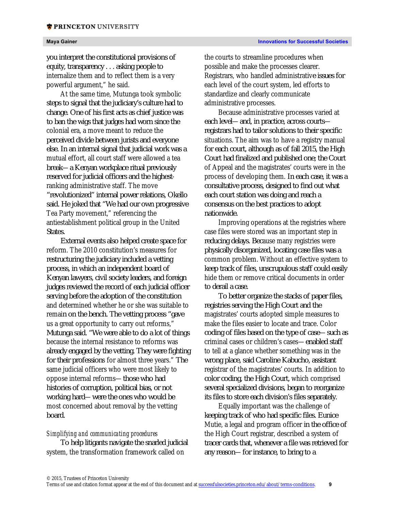you interpret the constitutional provisions of equity, transparency . . . asking people to internalize them and to reflect them is a very powerful argument," he said.

At the same time, Mutunga took symbolic steps to signal that the judiciary's culture had to change. One of his first acts as chief justice was to ban the wigs that judges had worn since the colonial era, a move meant to reduce the perceived divide between jurists and everyone else. In an internal signal that judicial work was a mutual effort, all court staff were allowed a tea break—a Kenyan workplace ritual previously reserved for judicial officers and the highestranking administrative staff. The move "revolutionized" internal power relations, Okello said. He joked that "We had our own progressive Tea Party movement," referencing the antiestablishment political group in the United States.

External events also helped create space for reform. The 2010 constitution's measures for restructuring the judiciary included a vetting process, in which an independent board of Kenyan lawyers, civil society leaders, and foreign judges reviewed the record of each judicial officer serving before the adoption of the constitution and determined whether he or she was suitable to remain on the bench. The vetting process "gave us a great opportunity to carry out reforms," Mutunga said. "We were able to do a lot of things because the internal resistance to reforms was already engaged by the vetting. They were fighting for their professions for almost three years." The same judicial officers who were most likely to oppose internal reforms—those who had histories of corruption, political bias, or not working hard—were the ones who would be most concerned about removal by the vetting board.

### *Simplifying and communicating procedures*

To help litigants navigate the snarled judicial system, the transformation framework called on

the courts to streamline procedures when possible and make the processes clearer. Registrars, who handled administrative issues for each level of the court system, led efforts to standardize and clearly communicate administrative processes.

Because administrative processes varied at each level—and, in practice, across courts registrars had to tailor solutions to their specific situations. The aim was to have a registry manual for each court, although as of fall 2015, the High Court had finalized and published one; the Court of Appeal and the magistrates' courts were in the process of developing them. In each case, it was a consultative process, designed to find out what each court station was doing and reach a consensus on the best practices to adopt nationwide.

Improving operations at the registries where case files were stored was an important step in reducing delays. Because many registries were physically disorganized, locating case files was a common problem. Without an effective system to keep track of files, unscrupulous staff could easily hide them or remove critical documents in order to derail a case.

To better organize the stacks of paper files, registries serving the High Court and the magistrates' courts adopted simple measures to make the files easier to locate and trace. Color coding of files based on the type of case—such as criminal cases or children's cases—enabled staff to tell at a glance whether something was in the wrong place, said Caroline Kabucho, assistant registrar of the magistrates' courts. In addition to color coding, the High Court, which comprised several specialized divisions, began to reorganize its files to store each division's files separately.

Equally important was the challenge of keeping track of who had specific files. Eunice Mutie, a legal and program officer in the office of the High Court registrar, described a system of tracer cards that, whenever a file was retrieved for any reason—for instance, to bring to a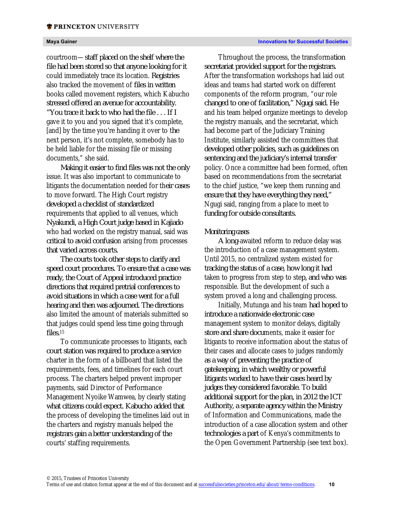courtroom—staff placed on the shelf where the file had been stored so that anyone looking for it could immediately trace its location. Registries also tracked the movement of files in written books called movement registers, which Kabucho stressed offered an avenue for accountability. "You trace it back to who had the file . . . If I gave it to you and you signed that it's complete, [and] by the time you're handing it over to the next person, it's not complete, somebody has to be held liable for the missing file or missing documents," she said.

Making it easier to find files was not the only issue. It was also important to communicate to litigants the documentation needed for their cases to move forward. The High Court registry developed a checklist of standardized requirements that applied to all venues, which Nyakundi, a High Court judge based in Kajiado who had worked on the registry manual, said was critical to avoid confusion arising from processes that varied across courts.

The courts took other steps to clarify and speed court procedures. To ensure that a case was ready, the Court of Appeal introduced practice directions that required pretrial conferences to avoid situations in which a case went for a full hearing and then was adjourned. The directions also limited the amount of materials submitted so that judges could spend less time going through files.15

To communicate processes to litigants, each court station was required to produce a service charter in the form of a billboard that listed the requirements, fees, and timelines for each court process. The charters helped prevent improper payments, said Director of Performance Management Nyoike Wamwea, by clearly stating what citizens could expect. Kabucho added that the process of developing the timelines laid out in the charters and registry manuals helped the registrars gain a better understanding of the courts' staffing requirements.

Throughout the process, the transformation secretariat provided support for the registrars. After the transformation workshops had laid out ideas and teams had started work on different components of the reform program, "our role changed to one of facilitation," Ngugi said. He and his team helped organize meetings to develop the registry manuals, and the secretariat, which had become part of the Judiciary Training Institute, similarly assisted the committees that developed other policies, such as guidelines on sentencing and the judiciary's internal transfer policy. Once a committee had been formed, often based on recommendations from the secretariat to the chief justice, "we keep them running and ensure that they have everything they need," Ngugi said, ranging from a place to meet to funding for outside consultants.

### *Monitoring cases*

A long-awaited reform to reduce delay was the introduction of a case management system. Until 2015, no centralized system existed for tracking the status of a case, how long it had taken to progress from step to step, and who was responsible. But the development of such a system proved a long and challenging process.

Initially, Mutunga and his team had hoped to introduce a nationwide electronic case management system to monitor delays, digitally store and share documents, make it easier for litigants to receive information about the status of their cases and allocate cases to judges randomly as a way of preventing the practice of gatekeeping, in which wealthy or powerful litigants worked to have their cases heard by judges they considered favorable. To build additional support for the plan, in 2012 the ICT Authority, a separate agency within the Ministry of Information and Communications, made the introduction of a case allocation system and other technologies a part of Kenya's commitments to the Open Government Partnership (see text box).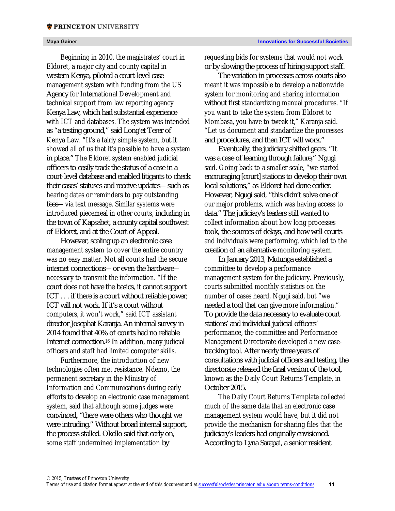Beginning in 2010, the magistrates' court in Eldoret, a major city and county capital in western Kenya, piloted a court-level case management system with funding from the US Agency for International Development and technical support from law reporting agency Kenya Law, which had substantial experience with ICT and databases. The system was intended as "a testing ground," said Long'et Terer of Kenya Law. "It's a fairly simple system, but it showed all of us that it's possible to have a system in place." The Eldoret system enabled judicial officers to easily track the status of a case in a court-level database and enabled litigants to check their cases' statuses and receive updates—such as hearing dates or reminders to pay outstanding fees—via text message. Similar systems were introduced piecemeal in other courts, including in the town of Kapsabet, a county capital southwest of Eldoret, and at the Court of Appeal.

However, scaling up an electronic case management system to cover the entire country was no easy matter. Not all courts had the secure internet connections—or even the hardware necessary to transmit the information. "If the court does not have the basics, it cannot support ICT . . . if there is a court without reliable power, ICT will not work. If it's a court without computers, it won't work," said ICT assistant director Josephat Karanja. An internal survey in 2014 found that 40% of courts had no reliable Internet connection.16 In addition, many judicial officers and staff had limited computer skills.

Furthermore, the introduction of new technologies often met resistance. Ndemo, the permanent secretary in the Ministry of Information and Communications during early efforts to develop an electronic case management system, said that although some judges were convinced, "there were others who thought we were intruding." Without broad internal support, the process stalled. Okello said that early on, some staff undermined implementation by

requesting bids for systems that would not work or by slowing the process of hiring support staff.

The variation in processes across courts also meant it was impossible to develop a nationwide system for monitoring and sharing information without first standardizing manual procedures. "If you want to take the system from Eldoret to Mombasa, you have to tweak it," Karanja said. "Let us document and standardize the processes and procedures, and then ICT will work."

Eventually, the judiciary shifted gears. "It was a case of learning through failure," Ngugi said. Going back to a smaller scale, "we started encouraging [court] stations to develop their own local solutions," as Eldoret had done earlier. However, Ngugi said, "this didn't solve one of our major problems, which was having access to data." The judiciary's leaders still wanted to collect information about how long processes took, the sources of delays, and how well courts and individuals were performing, which led to the creation of an alternative monitoring system.

In January 2013, Mutunga established a committee to develop a performance management system for the judiciary. Previously, courts submitted monthly statistics on the number of cases heard, Ngugi said, but "we needed a tool that can give more information." To provide the data necessary to evaluate court stations' and individual judicial officers' performance, the committee and Performance Management Directorate developed a new casetracking tool. After nearly three years of consultations with judicial officers and testing, the directorate released the final version of the tool, known as the Daily Court Returns Template, in October 2015.

The Daily Court Returns Template collected much of the same data that an electronic case management system would have, but it did not provide the mechanism for sharing files that the judiciary's leaders had originally envisioned. According to Lyna Sarapai, a senior resident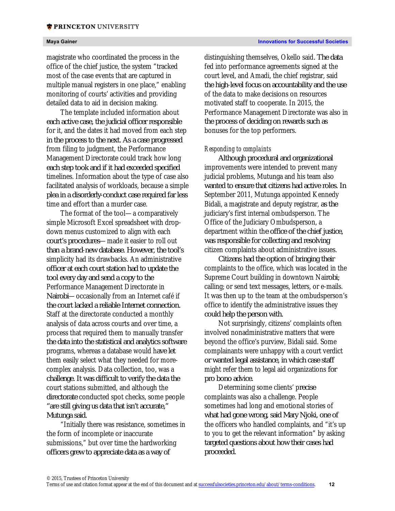magistrate who coordinated the process in the office of the chief justice, the system "tracked most of the case events that are captured in multiple manual registers in one place," enabling monitoring of courts' activities and providing detailed data to aid in decision making.

The template included information about each active case, the judicial officer responsible for it, and the dates it had moved from each step in the process to the next. As a case progressed from filing to judgment, the Performance Management Directorate could track how long each step took and if it had exceeded specified timelines. Information about the type of case also facilitated analysis of workloads, because a simple plea in a disorderly-conduct case required far less time and effort than a murder case.

The format of the tool—a comparatively simple Microsoft Excel spreadsheet with dropdown menus customized to align with each court's procedures—made it easier to roll out than a brand-new database. However, the tool's simplicity had its drawbacks. An administrative officer at each court station had to update the tool every day and send a copy to the Performance Management Directorate in Nairobi—occasionally from an Internet café if the court lacked a reliable Internet connection. Staff at the directorate conducted a monthly analysis of data across courts and over time, a process that required them to manually transfer the data into the statistical and analytics software programs, whereas a database would have let them easily select what they needed for morecomplex analysis. Data collection, too, was a challenge. It was difficult to verify the data the court stations submitted, and although the directorate conducted spot checks, some people "are still giving us data that isn't accurate," Mutunga said.

"Initially there was resistance, sometimes in the form of incomplete or inaccurate submissions," but over time the hardworking officers grew to appreciate data as a way of

distinguishing themselves, Okello said. The data fed into performance agreements signed at the court level, and Amadi, the chief registrar, said the high-level focus on accountability and the use of the data to make decisions on resources motivated staff to cooperate. In 2015, the Performance Management Directorate was also in the process of deciding on rewards such as bonuses for the top performers.

### *Responding to complaints*

Although procedural and organizational improvements were intended to prevent many judicial problems, Mutunga and his team also wanted to ensure that citizens had active roles. In September 2011, Mutunga appointed Kennedy Bidali, a magistrate and deputy registrar, as the judiciary's first internal ombudsperson. The Office of the Judiciary Ombudsperson, a department within the office of the chief justice, was responsible for collecting and resolving citizen complaints about administrative issues.

Citizens had the option of bringing their complaints to the office, which was located in the Supreme Court building in downtown Nairobi; calling; or send text messages, letters, or e-mails. It was then up to the team at the ombudsperson's office to identify the administrative issues they could help the person with.

Not surprisingly, citizens' complaints often involved nonadministrative matters that were beyond the office's purview, Bidali said. Some complainants were unhappy with a court verdict or wanted legal assistance, in which case staff might refer them to legal aid organizations for pro bono advice.

Determining some clients' precise complaints was also a challenge. People sometimes had long and emotional stories of what had gone wrong, said Mary Njoki, one of the officers who handled complaints, and "it's up to you to get the relevant information" by asking targeted questions about how their cases had proceeded.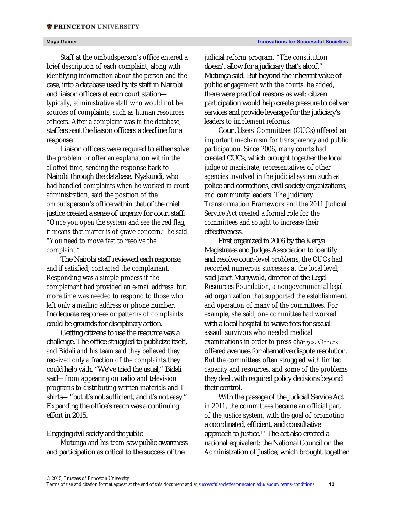Staff at the ombudsperson's office entered a brief description of each complaint, along with identifying information about the person and the case, into a database used by its staff in Nairobi and liaison officers at each court station typically, administrative staff who would not be sources of complaints, such as human resources officers. After a complaint was in the database, staffers sent the liaison officers a deadline for a response.

Liaison officers were required to either solve the problem or offer an explanation within the allotted time, sending the response back to Nairobi through the database. Nyakundi, who had handled complaints when he worked in court administration, said the position of the ombudsperson's office within that of the chief justice created a sense of urgency for court staff: "Once you open the system and see the red flag, it means that matter is of grave concern," he said. "You need to move fast to resolve the complaint."

The Nairobi staff reviewed each response, and if satisfied, contacted the complainant. Responding was a simple process if the complainant had provided an e-mail address, but more time was needed to respond to those who left only a mailing address or phone number. Inadequate responses or patterns of complaints could be grounds for disciplinary action.

Getting citizens to use the resource was a challenge. The office struggled to publicize itself, and Bidali and his team said they believed they received only a fraction of the complaints they could help with. "We've tried the usual," Bidali said—from appearing on radio and television programs to distributing written materials and Tshirts—"but it's not sufficient, and it's not easy." Expanding the office's reach was a continuing effort in 2015.

### *Engaging civil society and the public*

Mutunga and his team saw public awareness and participation as critical to the success of the

judicial reform program. "The constitution doesn't allow for a judiciary that's aloof," Mutunga said. But beyond the inherent value of public engagement with the courts, he added, there were practical reasons as well: citizen participation would help create pressure to deliver services and provide leverage for the judiciary's leaders to implement reforms.

Court Users' Committees (CUCs) offered an important mechanism for transparency and public participation. Since 2006, many courts had created CUCs, which brought together the local judge or magistrate, representatives of other agencies involved in the judicial system such as police and corrections, civil society organizations, and community leaders. The Judiciary Transformation Framework and the 2011 Judicial Service Act created a formal role for the committees and sought to increase their effectiveness.

First organized in 2006 by the Kenya Magistrates and Judges Association to identify and resolve court-level problems, the CUCs had recorded numerous successes at the local level, said Janet Munywoki, director of the Legal Resources Foundation, a nongovernmental legal aid organization that supported the establishment and operation of many of the committees. For example, she said, one committee had worked with a local hospital to waive fees for sexual assault survivors who needed medical examinations in order to press charges. Others offered avenues for alternative dispute resolution. But the committees often struggled with limited capacity and resources, and some of the problems they dealt with required policy decisions beyond their control.

With the passage of the Judicial Service Act in 2011, the committees became an official part of the justice system, with the goal of promoting a coordinated, efficient, and consultative approach to justice.17 The act also created a national equivalent: the National Council on the Administration of Justice, which brought together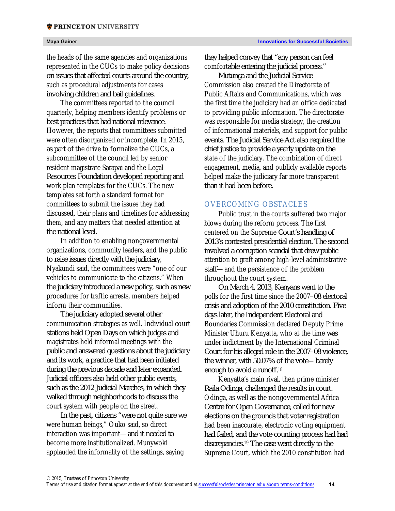the heads of the same agencies and organizations represented in the CUCs to make policy decisions on issues that affected courts around the country, such as procedural adjustments for cases involving children and bail guidelines.

The committees reported to the council quarterly, helping members identify problems or best practices that had national relevance. However, the reports that committees submitted were often disorganized or incomplete. In 2015, as part of the drive to formalize the CUCs, a subcommittee of the council led by senior resident magistrate Sarapai and the Legal Resources Foundation developed reporting and work plan templates for the CUCs. The new templates set forth a standard format for committees to submit the issues they had discussed, their plans and timelines for addressing them, and any matters that needed attention at the national level.

In addition to enabling nongovernmental organizations, community leaders, and the public to raise issues directly with the judiciary, Nyakundi said, the committees were "one of our vehicles to communicate to the citizens." When the judiciary introduced a new policy, such as new procedures for traffic arrests, members helped inform their communities.

The judiciary adopted several other communication strategies as well. Individual court stations held Open Days on which judges and magistrates held informal meetings with the public and answered questions about the judiciary and its work, a practice that had been initiated during the previous decade and later expanded. Judicial officers also held other public events, such as the 2012 Judicial Marches, in which they walked through neighborhoods to discuss the court system with people on the street.

In the past, citizens "were not quite sure we were human beings," Ouko said, so direct interaction was important—and it needed to become more institutionalized. Munywoki applauded the informality of the settings, saying

they helped convey that "any person can feel comfortable entering the judicial process."

Mutunga and the Judicial Service Commission also created the Directorate of Public Affairs and Communications, which was the first time the judiciary had an office dedicated to providing public information. The directorate was responsible for media strategy, the creation of informational materials, and support for public events. The Judicial Service Act also required the chief justice to provide a yearly update on the state of the judiciary. The combination of direct engagement, media, and publicly available reports helped make the judiciary far more transparent than it had been before.

# OVERCOMING OBSTACLES

Public trust in the courts suffered two major blows during the reform process. The first centered on the Supreme Court's handling of 2013's contested presidential election. The second involved a corruption scandal that drew public attention to graft among high-level administrative staff—and the persistence of the problem throughout the court system.

On March 4, 2013, Kenyans went to the polls for the first time since the 2007–08 electoral crisis and adoption of the 2010 constitution. Five days later, the Independent Electoral and Boundaries Commission declared Deputy Prime Minister Uhuru Kenyatta, who at the time was under indictment by the International Criminal Court for his alleged role in the 2007–08 violence, the winner, with 50.07% of the vote—barely enough to avoid a runoff.18

Kenyatta's main rival, then prime minister Raila Odinga, challenged the results in court. Odinga, as well as the nongovernmental Africa Centre for Open Governance, called for new elections on the grounds that voter registration had been inaccurate, electronic voting equipment had failed, and the vote-counting process had had discrepancies.19 The case went directly to the Supreme Court, which the 2010 constitution had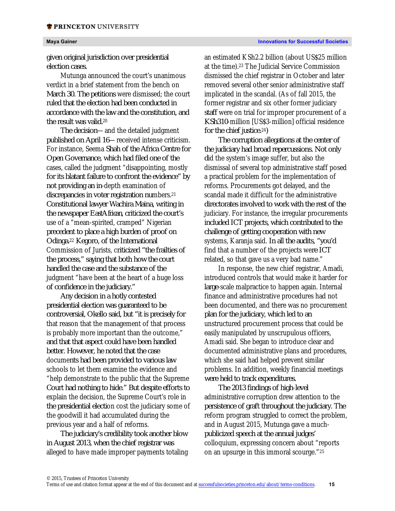### **\* PRINCETON** UNIVERSITY

given original jurisdiction over presidential election cases.

Mutunga announced the court's unanimous verdict in a brief statement from the bench on March 30. The petitions were dismissed; the court ruled that the election had been conducted in accordance with the law and the constitution, and the result was valid.20

The decision—and the detailed judgment published on April 16—received intense criticism. For instance, Seema Shah of the Africa Centre for Open Governance, which had filed one of the cases, called the judgment "disappointing, mostly for its blatant failure to confront the evidence" by not providing an in-depth examination of discrepancies in voter registration numbers.21 Constitutional lawyer Wachira Maina, writing in the newspaper *EastAfrican*, criticized the court's use of a "mean-spirited, cramped" Nigerian precedent to place a high burden of proof on Odinga.22 Kegoro, of the International Commission of Jurists, criticized "the frailties of the process," saying that both how the court handled the case and the substance of the judgment "have been at the heart of a huge loss of confidence in the judiciary."

Any decision in a hotly contested presidential election was guaranteed to be controversial, Okello said, but "it is precisely for that reason that the management of that process is probably more important than the outcome," and that that aspect could have been handled better. However, he noted that the case documents had been provided to various law schools to let them examine the evidence and "help demonstrate to the public that the Supreme Court had nothing to hide." But despite efforts to explain the decision, the Supreme Court's role in the presidential election cost the judiciary some of the goodwill it had accumulated during the previous year and a half of reforms.

The judiciary's credibility took another blow in August 2013, when the chief registrar was alleged to have made improper payments totaling an estimated KSh2.2 billion (about US\$25 million at the time).23 The Judicial Service Commission dismissed the chief registrar in October and later removed several other senior administrative staff implicated in the scandal. (As of fall 2015, the former registrar and six other former judiciary staff were on trial for improper procurement of a KSh310-million [US\$3-million] official residence for the chief justice.24)

The corruption allegations at the center of the judiciary had broad repercussions. Not only did the system's image suffer, but also the dismissal of several top administrative staff posed a practical problem for the implementation of reforms. Procurements got delayed, and the scandal made it difficult for the administrative directorates involved to work with the rest of the judiciary. For instance, the irregular procurements included ICT projects, which contributed to the challenge of getting cooperation with new systems, Karanja said. In all the audits, "you'd find that a number of the projects were ICT related, so that gave us a very bad name."

In response, the new chief registrar, Amadi, introduced controls that would make it harder for large-scale malpractice to happen again. Internal finance and administrative procedures had not been documented, and there was no procurement plan for the judiciary, which led to an unstructured procurement process that could be easily manipulated by unscrupulous officers, Amadi said. She began to introduce clear and documented administrative plans and procedures, which she said had helped prevent similar problems. In addition, weekly financial meetings were held to track expenditures.

The 2013 findings of high-level administrative corruption drew attention to the persistence of graft throughout the judiciary. The reform program struggled to correct the problem, and in August 2015, Mutunga gave a muchpublicized speech at the annual judges' colloquium, expressing concern about "reports on an upsurge in this immoral scourge."25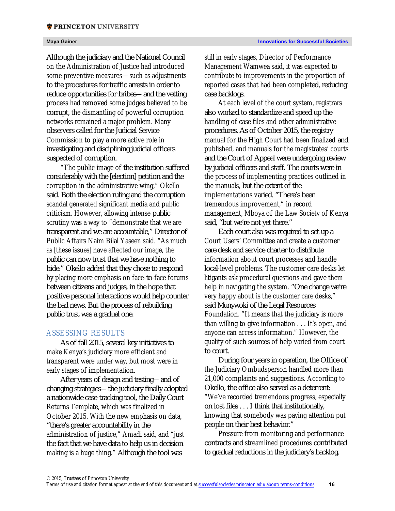Although the judiciary and the National Council on the Administration of Justice had introduced some preventive measures—such as adjustments to the procedures for traffic arrests in order to reduce opportunities for bribes—and the vetting process had removed some judges believed to be corrupt, the dismantling of powerful corruption networks remained a major problem. Many observers called for the Judicial Service Commission to play a more active role in investigating and disciplining judicial officers suspected of corruption.

"The public image of the institution suffered considerably with the [election] petition and the corruption in the administrative wing," Okello said. Both the election ruling and the corruption scandal generated significant media and public criticism. However, allowing intense public scrutiny was a way to "demonstrate that we are transparent and we are accountable," Director of Public Affairs Naim Bilal Yaseen said. "As much as [these issues] have affected our image, the public can now trust that we have nothing to hide." Okello added that they chose to respond by placing more emphasis on face-to-face forums between citizens and judges, in the hope that positive personal interactions would help counter the bad news. But the process of rebuilding public trust was a gradual one.

### ASSESSING RESULTS

As of fall 2015, several key initiatives to make Kenya's judiciary more efficient and transparent were under way, but most were in early stages of implementation.

After years of design and testing—and of changing strategies—the judiciary finally adopted a nationwide case-tracking tool, the Daily Court Returns Template, which was finalized in October 2015. With the new emphasis on data, "there's greater accountability in the administration of justice," Amadi said, and "just the fact that we have data to help us in decision making is a huge thing." Although the tool was

still in early stages, Director of Performance Management Wamwea said, it was expected to contribute to improvements in the proportion of reported cases that had been completed, reducing case backlogs.

At each level of the court system, registrars also worked to standardize and speed up the handling of case files and other administrative procedures. As of October 2015, the registry manual for the High Court had been finalized and published, and manuals for the magistrates' courts and the Court of Appeal were undergoing review by judicial officers and staff. The courts were in the process of implementing practices outlined in the manuals, but the extent of the implementations varied. "There's been tremendous improvement," in record management, Mboya of the Law Society of Kenya said, "but we're not yet there."

Each court also was required to set up a Court Users' Committee and create a customer care desk and service charter to distribute information about court processes and handle local-level problems. The customer care desks let litigants ask procedural questions and gave them help in navigating the system. "One change we're very happy about is the customer care desks," said Munywoki of the Legal Resources Foundation. "It means that the judiciary is more than willing to give information . . . It's open, and anyone can access information." However, the quality of such sources of help varied from court to court.

During four years in operation, the Office of the Judiciary Ombudsperson handled more than 21,000 complaints and suggestions. According to Okello, the office also served as a deterrent: "We've recorded tremendous progress, especially on lost files . . . I think that institutionally, knowing that somebody was paying attention put people on their best behavior."

Pressure from monitoring and performance contracts and streamlined procedures contributed to gradual reductions in the judiciary's backlog.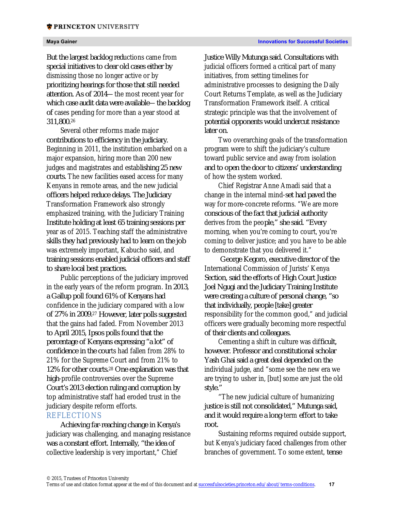311,800.26

But the largest backlog reductions came from special initiatives to clear old cases either by dismissing those no longer active or by prioritizing hearings for those that still needed attention. As of 2014—the most recent year for which case audit data were available—the backlog of cases pending for more than a year stood at

Several other reforms made major contributions to efficiency in the judiciary. Beginning in 2011, the institution embarked on a major expansion, hiring more than 200 new judges and magistrates and establishing 25 new courts. The new facilities eased access for many Kenyans in remote areas, and the new judicial officers helped reduce delays. The Judiciary Transformation Framework also strongly emphasized training, with the Judiciary Training Institute holding at least 65 training sessions per year as of 2015. Teaching staff the administrative skills they had previously had to learn on the job was extremely important, Kabucho said, and training sessions enabled judicial officers and staff to share local best practices.

Public perceptions of the judiciary improved in the early years of the reform program. In 2013, a Gallup poll found 61% of Kenyans had confidence in the judiciary compared with a low of 27% in 2009.27 However, later polls suggested that the gains had faded. From November 2013 to April 2015, Ipsos polls found that the percentage of Kenyans expressing "a lot" of confidence in the courts had fallen from 28% to 21% for the Supreme Court and from 21% to 12% for other courts.28 One explanation was that high-profile controversies over the Supreme Court's 2013 election ruling and corruption by top administrative staff had eroded trust in the judiciary despite reform efforts.

# REFLECTIONS

Achieving far-reaching change in Kenya's judiciary was challenging, and managing resistance was a constant effort. Internally, "the idea of collective leadership is very important," Chief

Justice Willy Mutunga said. Consultations with judicial officers formed a critical part of many initiatives, from setting timelines for administrative processes to designing the Daily Court Returns Template, as well as the Judiciary Transformation Framework itself. A critical strategic principle was that the involvement of potential opponents would undercut resistance later on.

Two overarching goals of the transformation program were to shift the judiciary's culture toward public service and away from isolation and to open the door to citizens' understanding of how the system worked.

Chief Registrar Anne Amadi said that a change in the internal mind-set had paved the way for more-concrete reforms. "We are more conscious of the fact that judicial authority derives from the people," she said. "Every morning, when you're coming to court, you're coming to deliver justice; and you have to be able to demonstrate that you delivered it."

George Kegoro, executive director of the International Commission of Jurists' Kenya Section, said the efforts of High Court Justice Joel Ngugi and the Judiciary Training Institute were creating a culture of personal change, "so that individually, people [take] greater responsibility for the common good," and judicial officers were gradually becoming more respectful of their clients and colleagues.

Cementing a shift in culture was difficult, however. Professor and constitutional scholar Yash Ghai said a great deal depended on the individual judge, and "some see the new era we are trying to usher in, [but] some are just the old style."

"The new judicial culture of humanizing justice is still not consolidated," Mutunga said, and it would require a long-term effort to take root.

Sustaining reforms required outside support, but Kenya's judiciary faced challenges from other branches of government. To some extent, tense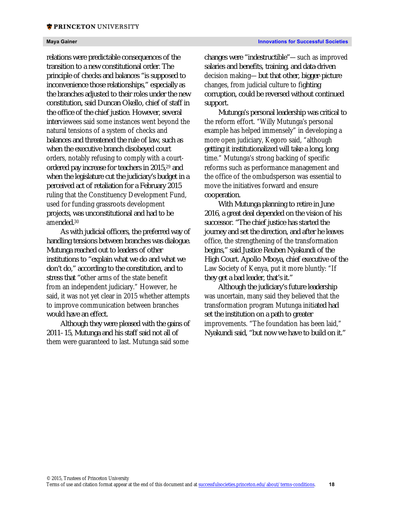relations were predictable consequences of the transition to a new constitutional order. The principle of checks and balances "is supposed to inconvenience those relationships," especially as the branches adjusted to their roles under the new constitution, said Duncan Okello, chief of staff in the office of the chief justice. However, several interviewees said some instances went beyond the natural tensions of a system of checks and balances and threatened the rule of law, such as when the executive branch disobeyed court orders, notably refusing to comply with a courtordered pay increase for teachers in 2015,29 and when the legislature cut the judiciary's budget in a perceived act of retaliation for a February 2015 ruling that the Constituency Development Fund, used for funding grassroots development projects, was unconstitutional and had to be amended.30

As with judicial officers, the preferred way of handling tensions between branches was dialogue. Mutunga reached out to leaders of other institutions to "explain what we do and what we don't do," according to the constitution, and to stress that "other arms of the state benefit from an independent judiciary." However, he said, it was not yet clear in 2015 whether attempts to improve communication between branches would have an effect.

Although they were pleased with the gains of 2011–15, Mutunga and his staff said not all of them were guaranteed to last. Mutunga said some

changes were "indestructible"—such as improved salaries and benefits, training, and data-driven decision making—but that other, bigger-picture changes, from judicial culture to fighting corruption, could be reversed without continued support.

Mutunga's personal leadership was critical to the reform effort. "Willy Mutunga's personal example has helped immensely" in developing a more open judiciary, Kegoro said, "although getting it institutionalized will take a long, long time." Mutunga's strong backing of specific reforms such as performance management and the office of the ombudsperson was essential to move the initiatives forward and ensure cooperation.

With Mutunga planning to retire in June 2016, a great deal depended on the vision of his successor. "The chief justice has started the journey and set the direction, and after he leaves office, the strengthening of the transformation begins," said Justice Reuben Nyakundi of the High Court. Apollo Mboya, chief executive of the Law Society of Kenya, put it more bluntly: "If they get a bad leader, that's it."

Although the judiciary's future leadership was uncertain, many said they believed that the transformation program Mutunga initiated had set the institution on a path to greater improvements. "The foundation has been laid," Nyakundi said, "but now we have to build on it."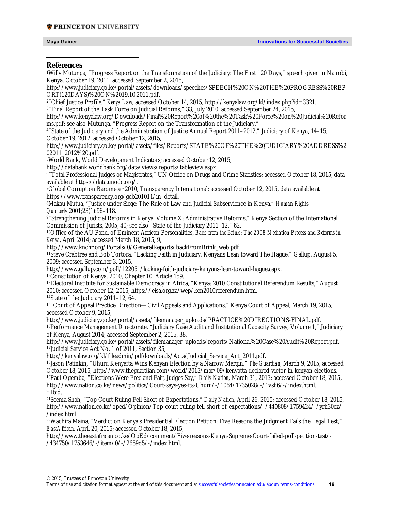### **\* PRINCETON** UNIVERSITY

 $\overline{a}$ 

### **References**

1Willy Mutunga, "Progress Report on the Transformation of the Judiciary: The First 120 Days," speech given in Nairobi, Kenya, October 19, 2011; accessed September 2, 2015, http://www.judiciary.go.ke/portal/assets/downloads/speeches/SPEECH%20ON%20THE%20PROGRESS%20REP ORT(120DAYS)%20ON%2019.10.2011.pdf. 2"Chief Justice Profile," *Kenya Law;* accessed October 14, 2015, http://kenyalaw.org/kl/index.php?id=3321. <sup>3</sup>"Final Report of the Task Force on Judicial Reforms," 33, July 2010; accessed September 24, 2015, http://www.kenyalaw.org/Downloads/Final%20Report%20of%20the%20Task%20Force%20on%20Judicial%20Refor ms.pdf; see also Mutunga, "Progress Report on the Transformation of the Judiciary." 4"State of the Judiciary and the Administration of Justice Annual Report 2011–2012," Judiciary of Kenya, 14–15, October 19, 2012; accessed October 12, 2015, http://www.judiciary.go.ke/portal/assets/files/Reports/STATE%20OF%20THE%20JUDICIARY%20ADDRESS%2 02011\_2012%20.pdf. 5World Bank, World Development Indicators; accessed October 12, 2015, http://databank.worldbank.org/data/views/reports/tableview.aspx. 6"Total Professional Judges or Magistrates," UN Office on Drugs and Crime Statistics; accessed October 18, 2015, data available at https://data.unodc.org/. 7Global Corruption Barometer 2010, Transparency International; accessed October 12, 2015, data available at https://www.transparency.org/gcb201011/in\_detail. 8Makau Mutua, "Justice under Siege: The Rule of Law and Judicial Subservience in Kenya," *Human Rights Quarterly* 2001;23(1):96–118. 9"Strengthening Judicial Reforms in Kenya, Volume X: Administrative Reforms," Kenya Section of the International Commission of Jurists, 2005, 40; see also "State of the Judiciary 2011–12," 62. 10Office of the AU Panel of Eminent African Personalities, *Back from the Brink: The 2008 Mediation Process and Reforms in Kenya,* April 2014; accessed March 18, 2015, 9, http://www.knchr.org/Portals/0/GeneralReports/backFromBrink\_web.pdf. 11Steve Crabtree and Bob Tortora, "Lacking Faith in Judiciary, Kenyans Lean toward The Hague," Gallup, August 5, 2009; accessed September 3, 2015, http://www.gallup.com/poll/122051/lacking-faith-judiciary-kenyans-lean-toward-hague.aspx. 12Constitution of Kenya, 2010, Chapter 10, Article 159. 13Electoral Institute for Sustainable Democracy in Africa, "Kenya: 2010 Constitutional Referendum Results," August 2010; accessed October 12, 2015, https://eisa.org.za/wep/ken2010referendum.htm. 14State of the Judiciary 2011-12, 64. 15"Court of Appeal Practice Direction—Civil Appeals and Applications," Kenya Court of Appeal, March 19, 2015; accessed October 9, 2015, http://www.judiciary.go.ke/portal/assets/filemanager\_uploads/PRACTICE%20DIRECTIONS-FINAL.pdf. 16Performance Management Directorate, "Judiciary Case Audit and Institutional Capacity Survey, Volume 1," Judiciary of Kenya, August 2014; accessed September 2, 2015, 38, http://www.judiciary.go.ke/portal/assets/filemanager\_uploads/reports/National%20Case%20Audit%20Report.pdf. 17Judicial Service Act No. 1 of 2011, Section 35, http://kenyalaw.org/kl/fileadmin/pdfdownloads/Acts/Judicial\_Service\_Act\_2011.pdf. 18Jason Patinkin, "Uhuru Kenyatta Wins Kenyan Election by a Narrow Margin," *The Guardian,* March 9, 2015; accessed October 18, 2015, http://www.theguardian.com/world/2013/mar/09/kenyatta-declared-victor-in-kenyan-elections. 19Paul Ogemba, "Elections Were Free and Fair, Judges Say," *Daily Nation,* March 31, 2013; accessed October 18, 2015, http://www.nation.co.ke/news/politics/Court-says-yes-its-Uhuru/-/1064/1735028/-/1vsli6/-/index.html. 20Ibid. 21Seema Shah, "Top Court Ruling Fell Short of Expectations," *Daily Nation,* April 26, 2015; accessed October 18, 2015, http://www.nation.co.ke/oped/Opinion/Top-court-ruling-fell-short-of-expectations/-/440808/1759424/-/yrh30cz/- /index.html. 22Wachira Maina, "Verdict on Kenya's Presidential Election Petition: Five Reasons the Judgment Fails the Legal Test," *EastAfrican,* April 20, 2015; accessed October 18, 2015, http://www.theeastafrican.co.ke/OpEd/comment/Five-reasons-Kenya-Supreme-Court-failed-poll-petition-test/- /434750/1753646/-/item/0/-/2659o5/-/index.html.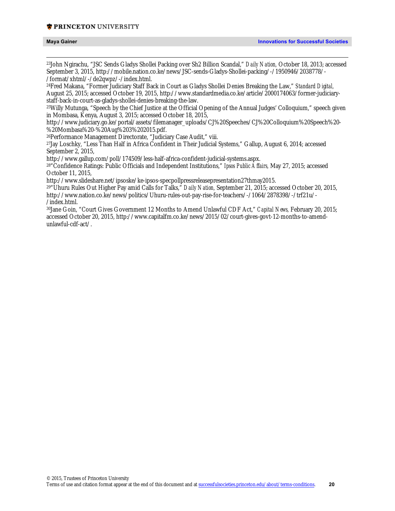### **\* PRINCETON** UNIVERSITY

| Maya Gainer |
|-------------|
|-------------|

 23John Ngirachu, "JSC Sends Gladys Shollei Packing over Sh2 Billion Scandal," *Daily Nation,* October 18, 2013; accessed September 3, 2015, http://mobile.nation.co.ke/news/JSC-sends-Gladys-Shollei-packing/-/1950946/2038778/- /format/xhtml/-/de2qwpz/-/index.html.

24Fred Makana, "Former Judiciary Staff Back in Court as Gladys Shollei Denies Breaking the Law," *Standard Digital,* August 25, 2015; accessed October 19, 2015, http://www.standardmedia.co.ke/article/2000174063/former-judiciarystaff-back-in-court-as-gladys-shollei-denies-breaking-the-law.

25Willy Mutunga, "Speech by the Chief Justice at the Official Opening of the Annual Judges' Colloquium," speech given in Mombasa, Kenya, August 3, 2015; accessed October 18, 2015,

http://www.judiciary.go.ke/portal/assets/filemanager\_uploads/CJ%20Speeches/CJ%20Colloquium%20Speech%20- %20Mombasa%20-%20Aug%203%202015.pdf.

26Performance Management Directorate, "Judiciary Case Audit," viii.

27Jay Loschky, "Less Than Half in Africa Confident in Their Judicial Systems," Gallup, August 6, 2014; accessed September 2, 2015,

http://www.gallup.com/poll/174509/less-half-africa-confident-judicial-systems.aspx.

28"Confidence Ratings: Public Officials and Independent Institutions," *Ipsos Public Affairs,* May 27, 2015; accessed October 11, 2015,

http://www.slideshare.net/ipsoske/ke-ipsos-specpollpressreleasepresentation27thmay2015.

29"Uhuru Rules Out Higher Pay amid Calls for Talks," *Daily Nation,* September 21, 2015; accessed October 20, 2015, http://www.nation.co.ke/news/politics/Uhuru-rules-out-pay-rise-for-teachers/-/1064/2878398/-/trf21u/- /index.html.

30Jane Goin, "Court Gives Government 12 Months to Amend Unlawful CDF Act," *Capital News,* February 20, 2015; accessed October 20, 2015, http://www.capitalfm.co.ke/news/2015/02/court-gives-govt-12-months-to-amendunlawful-cdf-act/.